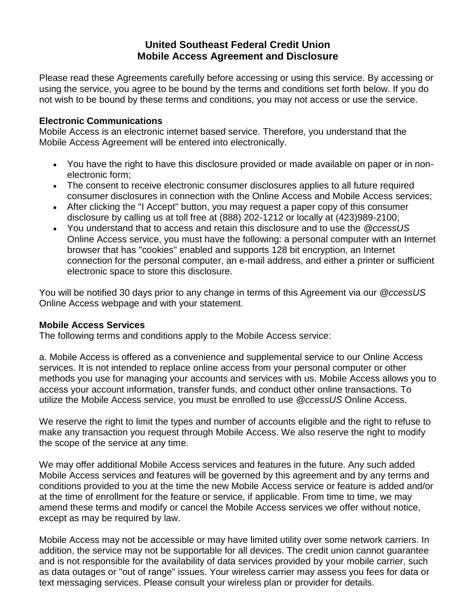## **United Southeast Federal Credit Union Mobile Access Agreement and Disclosure**

Please read these Agreements carefully before accessing or using this service. By accessing or using the service, you agree to be bound by the terms and conditions set forth below. If you do not wish to be bound by these terms and conditions, you may not access or use the service.

## **Electronic Communications**

Mobile Access is an electronic internet based service. Therefore, you understand that the Mobile Access Agreement will be entered into electronically.

- You have the right to have this disclosure provided or made available on paper or in nonelectronic form;
- The consent to receive electronic consumer disclosures applies to all future required consumer disclosures in connection with the Online Access and Mobile Access services;
- After clicking the "I Accept" button, you may request a paper copy of this consumer disclosure by calling us at toll free at (888) 202-1212 or locally at (423)989-2100;
- You understand that to access and retain this disclosure and to use the *@ccessUS* Online Access service, you must have the following: a personal computer with an Internet browser that has "cookies" enabled and supports 128 bit encryption, an Internet connection for the personal computer, an e-mail address, and either a printer or sufficient electronic space to store this disclosure.

You will be notified 30 days prior to any change in terms of this Agreement via our *@ccessUS* Online Access webpage and with your statement.

## **Mobile Access Services**

The following terms and conditions apply to the Mobile Access service:

a. Mobile Access is offered as a convenience and supplemental service to our Online Access services. It is not intended to replace online access from your personal computer or other methods you use for managing your accounts and services with us. Mobile Access allows you to access your account information, transfer funds, and conduct other online transactions. To utilize the Mobile Access service, you must be enrolled to use *@ccessUS* Online Access.

We reserve the right to limit the types and number of accounts eligible and the right to refuse to make any transaction you request through Mobile Access. We also reserve the right to modify the scope of the service at any time.

We may offer additional Mobile Access services and features in the future. Any such added Mobile Access services and features will be governed by this agreement and by any terms and conditions provided to you at the time the new Mobile Access service or feature is added and/or at the time of enrollment for the feature or service, if applicable. From time to time, we may amend these terms and modify or cancel the Mobile Access services we offer without notice, except as may be required by law.

Mobile Access may not be accessible or may have limited utility over some network carriers. In addition, the service may not be supportable for all devices. The credit union cannot guarantee and is not responsible for the availability of data services provided by your mobile carrier, such as data outages or "out of range" issues. Your wireless carrier may assess you fees for data or text messaging services. Please consult your wireless plan or provider for details.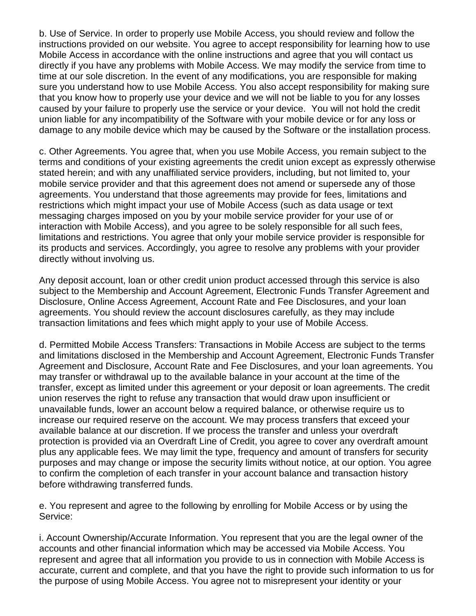b. Use of Service. In order to properly use Mobile Access, you should review and follow the instructions provided on our website. You agree to accept responsibility for learning how to use Mobile Access in accordance with the online instructions and agree that you will contact us directly if you have any problems with Mobile Access. We may modify the service from time to time at our sole discretion. In the event of any modifications, you are responsible for making sure you understand how to use Mobile Access. You also accept responsibility for making sure that you know how to properly use your device and we will not be liable to you for any losses caused by your failure to properly use the service or your device. You will not hold the credit union liable for any incompatibility of the Software with your mobile device or for any loss or damage to any mobile device which may be caused by the Software or the installation process.

c. Other Agreements. You agree that, when you use Mobile Access, you remain subject to the terms and conditions of your existing agreements the credit union except as expressly otherwise stated herein; and with any unaffiliated service providers, including, but not limited to, your mobile service provider and that this agreement does not amend or supersede any of those agreements. You understand that those agreements may provide for fees, limitations and restrictions which might impact your use of Mobile Access (such as data usage or text messaging charges imposed on you by your mobile service provider for your use of or interaction with Mobile Access), and you agree to be solely responsible for all such fees, limitations and restrictions. You agree that only your mobile service provider is responsible for its products and services. Accordingly, you agree to resolve any problems with your provider directly without involving us.

Any deposit account, loan or other credit union product accessed through this service is also subject to the Membership and Account Agreement, Electronic Funds Transfer Agreement and Disclosure, Online Access Agreement, Account Rate and Fee Disclosures, and your loan agreements. You should review the account disclosures carefully, as they may include transaction limitations and fees which might apply to your use of Mobile Access.

d. Permitted Mobile Access Transfers: Transactions in Mobile Access are subject to the terms and limitations disclosed in the Membership and Account Agreement, Electronic Funds Transfer Agreement and Disclosure, Account Rate and Fee Disclosures, and your loan agreements. You may transfer or withdrawal up to the available balance in your account at the time of the transfer, except as limited under this agreement or your deposit or loan agreements. The credit union reserves the right to refuse any transaction that would draw upon insufficient or unavailable funds, lower an account below a required balance, or otherwise require us to increase our required reserve on the account. We may process transfers that exceed your available balance at our discretion. If we process the transfer and unless your overdraft protection is provided via an Overdraft Line of Credit, you agree to cover any overdraft amount plus any applicable fees. We may limit the type, frequency and amount of transfers for security purposes and may change or impose the security limits without notice, at our option. You agree to confirm the completion of each transfer in your account balance and transaction history before withdrawing transferred funds.

e. You represent and agree to the following by enrolling for Mobile Access or by using the Service:

i. Account Ownership/Accurate Information. You represent that you are the legal owner of the accounts and other financial information which may be accessed via Mobile Access. You represent and agree that all information you provide to us in connection with Mobile Access is accurate, current and complete, and that you have the right to provide such information to us for the purpose of using Mobile Access. You agree not to misrepresent your identity or your